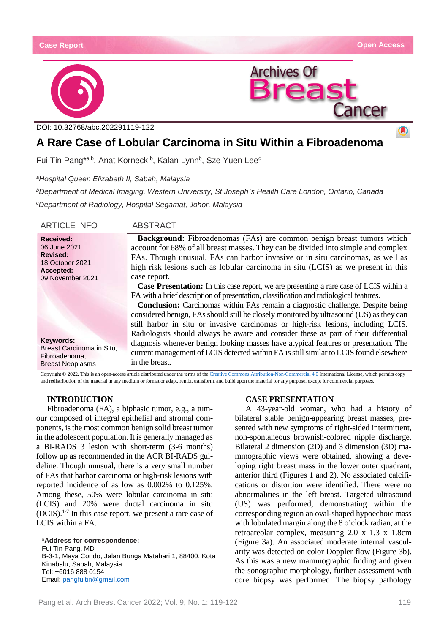A





DOI: [10.32768/abc.202291119-122](http://dx.doi.org/10.32768/abc.202184267-276)

# **A Rare Case of Lobular Carcinoma in Situ Within a Fibroadenoma**

Fui Tin Pang\*ª,b, Anat Kornecki<sup>b</sup>, Kalan Lynn<sup>b</sup>, Sze Yuen Lee<sup>c</sup>

*aHospital Queen Elizabeth II, Sabah, Malaysia*

*bDepartment of Medical Imaging, Western University, St Joseph's Health Care London, Ontario, Canada cDepartment of Radiology, Hospital Segamat, Johor, Malaysia*

| <b>ARTICLE INFO</b>                                                                                     | <b>ABSTRACT</b>                                                                                                                                                                                                                                                                                                                                                                                                                                                                                                                                                                                                                                                                                                                                                                                                             |
|---------------------------------------------------------------------------------------------------------|-----------------------------------------------------------------------------------------------------------------------------------------------------------------------------------------------------------------------------------------------------------------------------------------------------------------------------------------------------------------------------------------------------------------------------------------------------------------------------------------------------------------------------------------------------------------------------------------------------------------------------------------------------------------------------------------------------------------------------------------------------------------------------------------------------------------------------|
| <b>Received:</b><br>06 June 2021<br><b>Revised:</b><br>18 October 2021<br>Accepted:<br>09 November 2021 | <b>Background:</b> Fibroadenomas (FAs) are common benign breast tumors which<br>account for 68% of all breast masses. They can be divided into simple and complex<br>FAs. Though unusual, FAs can harbor invasive or in situ carcinomas, as well as<br>high risk lesions such as lobular carcinoma in situ (LCIS) as we present in this<br>case report.<br><b>Case Presentation:</b> In this case report, we are presenting a rare case of LCIS within a<br>FA with a brief description of presentation, classification and radiological features.<br><b>Conclusion:</b> Carcinomas within FAs remain a diagnostic challenge. Despite being<br>considered benign, FAs should still be closely monitored by ultrasound (US) as they can<br>still harbor in situ or invasive carcinomas or high-risk lesions, including LCIS. |
| Keywords:<br>Breast Carcinoma in Situ,<br>Fibroadenoma,<br><b>Breast Neoplasms</b>                      | Radiologists should always be aware and consider these as part of their differential<br>diagnosis whenever benign looking masses have atypical features or presentation. The<br>current management of LCIS detected within FA is still similar to LCIS found elsewhere<br>in the breast.                                                                                                                                                                                                                                                                                                                                                                                                                                                                                                                                    |

Copyright © 2022. This is an open-access article distributed under the terms of th[e Creative Commons Attribution-Non-Commercial 4.0](https://creativecommons.org/licenses/by-nc/4.0/) International License, which permits copy and redistribution of the material in any medium or format or adapt, remix, transform, and build upon the material for any purpose, except for commercial purposes.

# **INTRODUCTION**

Fibroadenoma (FA), a biphasic tumor, e.g., a tumour composed of integral epithelial and stromal components, is the most common benign solid breast tumor in the adolescent population. It is generally managed as a BI-RADS 3 lesion with short-term (3-6 months) follow up as recommended in the ACR BI-RADS guideline. Though unusual, there is a very small number of FAs that harbor carcinoma or high-risk lesions with reported incidence of as low as 0.002% to 0.125%. Among these, 50% were lobular carcinoma in situ (LCIS) and 20% were ductal carcinoma in situ  $(DCIS).<sup>1-7</sup>$  In this case report, we present a rare case of LCIS within a FA.

**\*Address for correspondence:** Fui Tin Pang, MD B-3-1, Maya Condo, Jalan Bunga Matahari 1, 88400, Kota Kinabalu, Sabah, Malaysia Tel: +6016 888 0154 Email: [pangfuitin@gmail.com](mailto:pangfuitin@gmail.com)

#### **CASE PRESENTATION**

A 43-year-old woman, who had a history of bilateral stable benign-appearing breast masses, presented with new symptoms of right-sided intermittent, non-spontaneous brownish-colored nipple discharge. Bilateral 2 dimension (2D) and 3 dimension (3D) mammographic views were obtained, showing a developing right breast mass in the lower outer quadrant, anterior third (Figures 1 and 2). No associated calcifications or distortion were identified. There were no abnormalities in the left breast. Targeted ultrasound (US) was performed, demonstrating within the corresponding region an oval-shaped hypoechoic mass with lobulated margin along the 8 o'clock radian, at the retroareolar complex, measuring 2.0 x 1.3 x 1.8cm (Figure 3a). An associated moderate internal vascularity was detected on color Doppler flow (Figure 3b). As this was a new mammographic finding and given the sonographic morphology, further assessment with core biopsy was performed. The biopsy pathology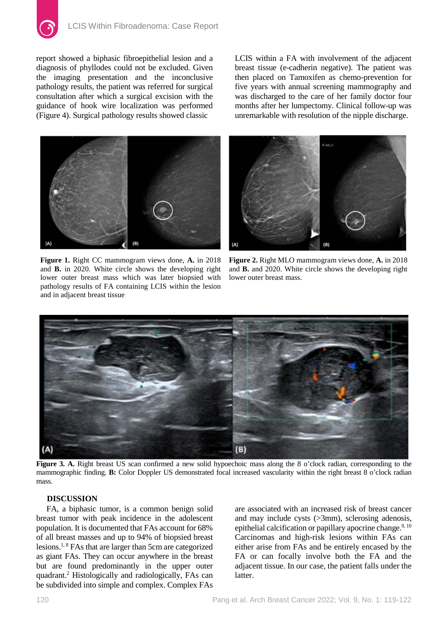report showed a biphasic fibroepithelial lesion and a diagnosis of phyllodes could not be excluded. Given the imaging presentation and the inconclusive pathology results, the patient was referred for surgical consultation after which a surgical excision with the guidance of hook wire localization was performed (Figure 4). Surgical pathology results showed classic

LCIS within a FA with involvement of the adjacent breast tissue (e-cadherin negative). The patient was then placed on Tamoxifen as chemo-prevention for five years with annual screening mammography and was discharged to the care of her family doctor four months after her lumpectomy. Clinical follow-up was unremarkable with resolution of the nipple discharge.



**Figure 1.** Right CC mammogram views done, **A.** in 2018 and **B.** in 2020. White circle shows the developing right lower outer breast mass which was later biopsied with pathology results of FA containing LCIS within the lesion and in adjacent breast tissue



**Figure 2.** Right MLO mammogram views done, **A.** in 2018 and **B.** and 2020. White circle shows the developing right lower outer breast mass.



**Figure 3. A.** Right breast US scan confirmed a new solid hypoechoic mass along the 8 o'clock radian, corresponding to the mammographic finding. **B:** Color Doppler US demonstrated focal increased vascularity within the right breast 8 o'clock radian mass.

## **DISCUSSION**

FA, a biphasic tumor, is a common benign solid breast tumor with peak incidence in the adolescent population. It is documented that FAs account for 68% of all breast masses and up to 94% of biopsied breast lesions.1, 8 FAs that are larger than 5cm are categorized as giant FAs. They can occur anywhere in the breast but are found predominantly in the upper outer quadrant.2 Histologically and radiologically, FAs can be subdivided into simple and complex. Complex FAs

are associated with an increased risk of breast cancer and may include cysts (>3mm), sclerosing adenosis, epithelial calcification or papillary apocrine change.<sup>9, 10</sup> Carcinomas and high-risk lesions within FAs can either arise from FAs and be entirely encased by the FA or can focally involve both the FA and the adjacent tissue. In our case, the patient falls under the latter.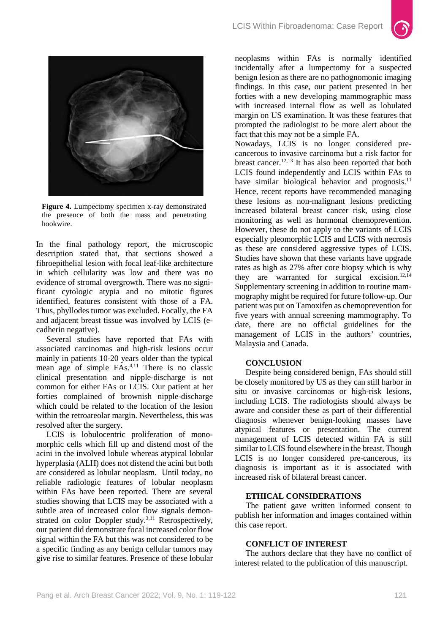



**Figure 4.** Lumpectomy specimen x-ray demonstrated the presence of both the mass and penetrating hookwire.

In the final pathology report, the microscopic description stated that, that sections showed a fibroepithelial lesion with focal leaf-like architecture in which cellularity was low and there was no evidence of stromal overgrowth. There was no significant cytologic atypia and no mitotic figures identified, features consistent with those of a FA. Thus, phyllodes tumor was excluded. Focally, the FA and adjacent breast tissue was involved by LCIS (ecadherin negative).

Several studies have reported that FAs with associated carcinomas and high-risk lesions occur mainly in patients 10-20 years older than the typical mean age of simple FAs.<sup>4,11</sup> There is no classic clinical presentation and nipple-discharge is not common for either FAs or LCIS. Our patient at her forties complained of brownish nipple-discharge which could be related to the location of the lesion within the retroareolar margin. Nevertheless, this was resolved after the surgery.

LCIS is lobulocentric proliferation of monomorphic cells which fill up and distend most of the acini in the involved lobule whereas atypical lobular hyperplasia (ALH) does not distend the acini but both are considered as lobular neoplasm. Until today, no reliable radiologic features of lobular neoplasm within FAs have been reported. There are several studies showing that LCIS may be associated with a subtle area of increased color flow signals demonstrated on color Doppler study.<sup>3,11</sup> Retrospectively, our patient did demonstrate focal increased color flow signal within the FA but this was not considered to be a specific finding as any benign cellular tumors may give rise to similar features. Presence of these lobular

neoplasms within FAs is normally identified incidentally after a lumpectomy for a suspected benign lesion as there are no pathognomonic imaging findings. In this case, our patient presented in her forties with a new developing mammographic mass with increased internal flow as well as lobulated margin on US examination. It was these features that prompted the radiologist to be more alert about the fact that this may not be a simple FA.

Nowadays, LCIS is no longer considered precancerous to invasive carcinoma but a risk factor for breast cancer.12,13 It has also been reported that both LCIS found independently and LCIS within FAs to have similar biological behavior and prognosis. $^{11}$ Hence, recent reports have recommended managing these lesions as non-malignant lesions predicting increased bilateral breast cancer risk, using close monitoring as well as hormonal chemoprevention. However, these do not apply to the variants of LCIS especially pleomorphic LCIS and LCIS with necrosis as these are considered aggressive types of LCIS. Studies have shown that these variants have upgrade rates as high as 27% after core biopsy which is why they are warranted for surgical excision.<sup>12,14</sup> Supplementary screening in addition to routine mammography might be required for future follow-up. Our patient was put on Tamoxifen as chemoprevention for five years with annual screening mammography. To date, there are no official guidelines for the management of LCIS in the authors' countries, Malaysia and Canada.

### **CONCLUSION**

Despite being considered benign, FAs should still be closely monitored by US as they can still harbor in situ or invasive carcinomas or high-risk lesions, including LCIS. The radiologists should always be aware and consider these as part of their differential diagnosis whenever benign-looking masses have atypical features or presentation. The current management of LCIS detected within FA is still similar to LCIS found elsewhere in the breast. Though LCIS is no longer considered pre-cancerous, its diagnosis is important as it is associated with increased risk of bilateral breast cancer.

#### **ETHICAL CONSIDERATIONS**

The patient gave written informed consent to publish her information and images contained within this case report.

#### **CONFLICT OF INTEREST**

The authors declare that they have no conflict of interest related to the publication of this manuscript.